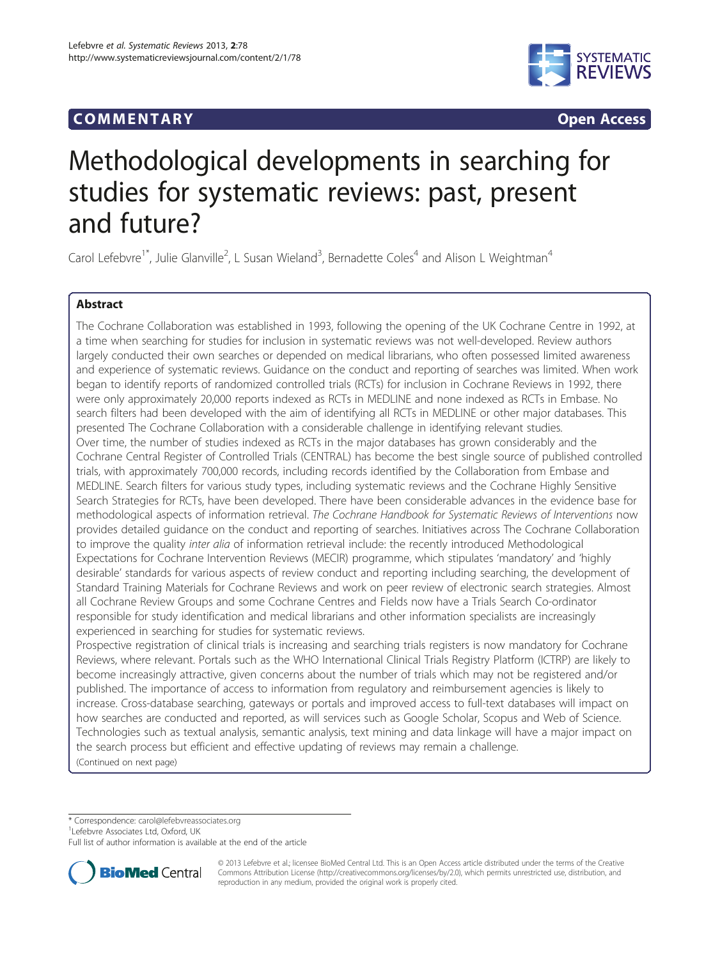## **COMMENTARY COMMENTARY Open Access**



# Methodological developments in searching for studies for systematic reviews: past, present and future?

Carol Lefebvre<sup>1\*</sup>, Julie Glanville<sup>2</sup>, L Susan Wieland<sup>3</sup>, Bernadette Coles<sup>4</sup> and Alison L Weightman<sup>4</sup>

## Abstract

The Cochrane Collaboration was established in 1993, following the opening of the UK Cochrane Centre in 1992, at a time when searching for studies for inclusion in systematic reviews was not well-developed. Review authors largely conducted their own searches or depended on medical librarians, who often possessed limited awareness and experience of systematic reviews. Guidance on the conduct and reporting of searches was limited. When work began to identify reports of randomized controlled trials (RCTs) for inclusion in Cochrane Reviews in 1992, there were only approximately 20,000 reports indexed as RCTs in MEDLINE and none indexed as RCTs in Embase. No search filters had been developed with the aim of identifying all RCTs in MEDLINE or other major databases. This presented The Cochrane Collaboration with a considerable challenge in identifying relevant studies. Over time, the number of studies indexed as RCTs in the major databases has grown considerably and the Cochrane Central Register of Controlled Trials (CENTRAL) has become the best single source of published controlled trials, with approximately 700,000 records, including records identified by the Collaboration from Embase and MEDLINE. Search filters for various study types, including systematic reviews and the Cochrane Highly Sensitive Search Strategies for RCTs, have been developed. There have been considerable advances in the evidence base for methodological aspects of information retrieval. The Cochrane Handbook for Systematic Reviews of Interventions now provides detailed guidance on the conduct and reporting of searches. Initiatives across The Cochrane Collaboration to improve the quality inter alia of information retrieval include: the recently introduced Methodological Expectations for Cochrane Intervention Reviews (MECIR) programme, which stipulates 'mandatory' and 'highly desirable' standards for various aspects of review conduct and reporting including searching, the development of Standard Training Materials for Cochrane Reviews and work on peer review of electronic search strategies. Almost all Cochrane Review Groups and some Cochrane Centres and Fields now have a Trials Search Co-ordinator responsible for study identification and medical librarians and other information specialists are increasingly experienced in searching for studies for systematic reviews. Prospective registration of clinical trials is increasing and searching trials registers is now mandatory for Cochrane

Reviews, where relevant. Portals such as the WHO International Clinical Trials Registry Platform (ICTRP) are likely to become increasingly attractive, given concerns about the number of trials which may not be registered and/or published. The importance of access to information from regulatory and reimbursement agencies is likely to increase. Cross-database searching, gateways or portals and improved access to full-text databases will impact on how searches are conducted and reported, as will services such as Google Scholar, Scopus and Web of Science. Technologies such as textual analysis, semantic analysis, text mining and data linkage will have a major impact on the search process but efficient and effective updating of reviews may remain a challenge. (Continued on next page)

\* Correspondence: [carol@lefebvreassociates.org](mailto:carol@lefebvreassociates.org) <sup>1</sup>

<sup>1</sup>Lefebvre Associates Ltd, Oxford, UK

Full list of author information is available at the end of the article



© 2013 Lefebvre et al.; licensee BioMed Central Ltd. This is an Open Access article distributed under the terms of the Creative Commons Attribution License [\(http://creativecommons.org/licenses/by/2.0\)](http://creativecommons.org/licenses/by/2.0), which permits unrestricted use, distribution, and reproduction in any medium, provided the original work is properly cited.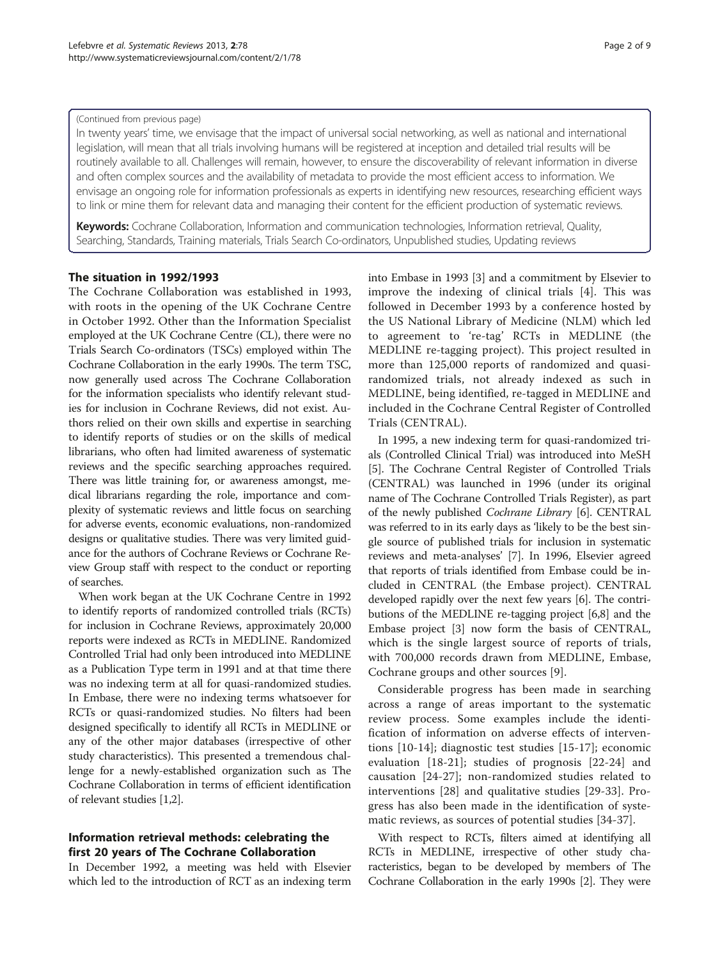#### (Continued from previous page)

In twenty years' time, we envisage that the impact of universal social networking, as well as national and international legislation, will mean that all trials involving humans will be registered at inception and detailed trial results will be routinely available to all. Challenges will remain, however, to ensure the discoverability of relevant information in diverse and often complex sources and the availability of metadata to provide the most efficient access to information. We envisage an ongoing role for information professionals as experts in identifying new resources, researching efficient ways

Keywords: Cochrane Collaboration, Information and communication technologies, Information retrieval, Quality, Searching, Standards, Training materials, Trials Search Co-ordinators, Unpublished studies, Updating reviews

to link or mine them for relevant data and managing their content for the efficient production of systematic reviews.

## The situation in 1992/1993

The Cochrane Collaboration was established in 1993, with roots in the opening of the UK Cochrane Centre in October 1992. Other than the Information Specialist employed at the UK Cochrane Centre (CL), there were no Trials Search Co-ordinators (TSCs) employed within The Cochrane Collaboration in the early 1990s. The term TSC, now generally used across The Cochrane Collaboration for the information specialists who identify relevant studies for inclusion in Cochrane Reviews, did not exist. Authors relied on their own skills and expertise in searching to identify reports of studies or on the skills of medical librarians, who often had limited awareness of systematic reviews and the specific searching approaches required. There was little training for, or awareness amongst, medical librarians regarding the role, importance and complexity of systematic reviews and little focus on searching for adverse events, economic evaluations, non-randomized designs or qualitative studies. There was very limited guidance for the authors of Cochrane Reviews or Cochrane Review Group staff with respect to the conduct or reporting of searches.

When work began at the UK Cochrane Centre in 1992 to identify reports of randomized controlled trials (RCTs) for inclusion in Cochrane Reviews, approximately 20,000 reports were indexed as RCTs in MEDLINE. Randomized Controlled Trial had only been introduced into MEDLINE as a Publication Type term in 1991 and at that time there was no indexing term at all for quasi-randomized studies. In Embase, there were no indexing terms whatsoever for RCTs or quasi-randomized studies. No filters had been designed specifically to identify all RCTs in MEDLINE or any of the other major databases (irrespective of other study characteristics). This presented a tremendous challenge for a newly-established organization such as The Cochrane Collaboration in terms of efficient identification of relevant studies [\[1,2\]](#page-6-0).

## Information retrieval methods: celebrating the first 20 years of The Cochrane Collaboration

In December 1992, a meeting was held with Elsevier which led to the introduction of RCT as an indexing term into Embase in 1993 [[3](#page-6-0)] and a commitment by Elsevier to improve the indexing of clinical trials [\[4](#page-6-0)]. This was followed in December 1993 by a conference hosted by the US National Library of Medicine (NLM) which led to agreement to 're-tag' RCTs in MEDLINE (the MEDLINE re-tagging project). This project resulted in more than 125,000 reports of randomized and quasirandomized trials, not already indexed as such in MEDLINE, being identified, re-tagged in MEDLINE and included in the Cochrane Central Register of Controlled Trials (CENTRAL).

In 1995, a new indexing term for quasi-randomized trials (Controlled Clinical Trial) was introduced into MeSH [[5\]](#page-6-0). The Cochrane Central Register of Controlled Trials (CENTRAL) was launched in 1996 (under its original name of The Cochrane Controlled Trials Register), as part of the newly published Cochrane Library [\[6\]](#page-6-0). CENTRAL was referred to in its early days as 'likely to be the best single source of published trials for inclusion in systematic reviews and meta-analyses' [\[7](#page-6-0)]. In 1996, Elsevier agreed that reports of trials identified from Embase could be included in CENTRAL (the Embase project). CENTRAL developed rapidly over the next few years [\[6\]](#page-6-0). The contributions of the MEDLINE re-tagging project [[6,8](#page-6-0)] and the Embase project [[3\]](#page-6-0) now form the basis of CENTRAL, which is the single largest source of reports of trials, with 700,000 records drawn from MEDLINE, Embase, Cochrane groups and other sources [\[9\]](#page-6-0).

Considerable progress has been made in searching across a range of areas important to the systematic review process. Some examples include the identification of information on adverse effects of interventions [\[10](#page-6-0)-[14\]](#page-6-0); diagnostic test studies [\[15](#page-6-0)-[17](#page-6-0)]; economic evaluation [[18-21\]](#page-6-0); studies of prognosis [\[22](#page-6-0)-[24](#page-6-0)] and causation [[24-27](#page-6-0)]; non-randomized studies related to interventions [\[28](#page-6-0)] and qualitative studies [\[29](#page-6-0)-[33\]](#page-6-0). Progress has also been made in the identification of systematic reviews, as sources of potential studies [[34-37](#page-6-0)].

With respect to RCTs, filters aimed at identifying all RCTs in MEDLINE, irrespective of other study characteristics, began to be developed by members of The Cochrane Collaboration in the early 1990s [[2\]](#page-6-0). They were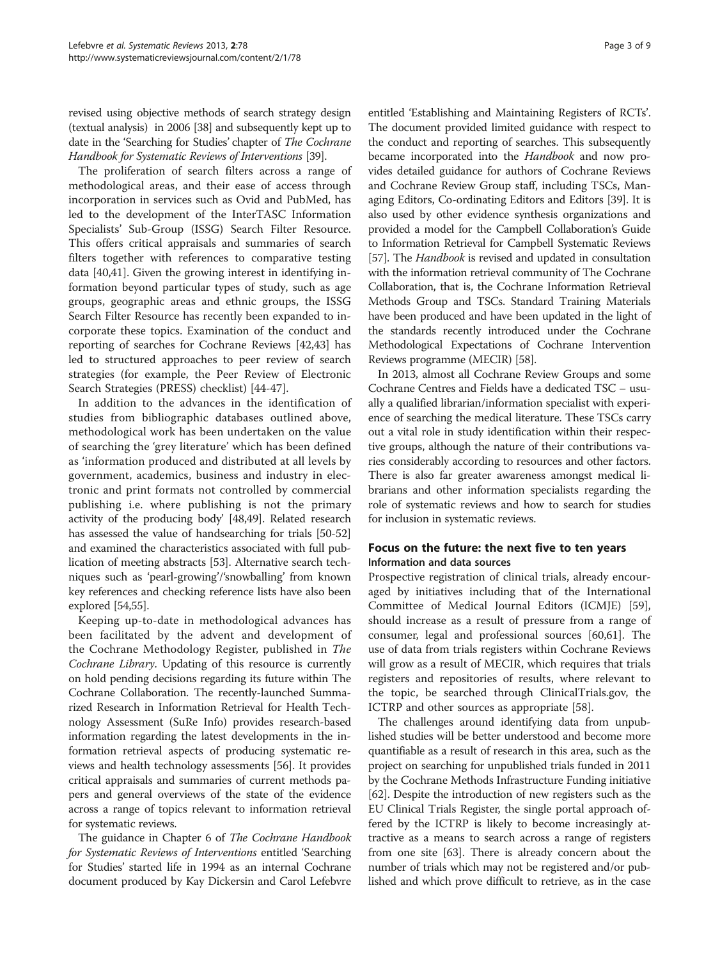revised using objective methods of search strategy design (textual analysis) in 2006 [\[38\] and subsequently kept up to](#page-6-0) date in the '[Searching for Studies](#page-6-0)' chapter of The Cochrane [Handbook for Systematic Reviews of Interventions](#page-6-0) [39].

The proliferation of search filters across a range of methodological areas, and their ease of access through incorporation in services such as Ovid and PubMed, has led to the development of the InterTASC Information Specialists' Sub-Group (ISSG) Search Filter Resource. This offers critical appraisals and summaries of search filters together with references to comparative testing data [[40,41\]](#page-6-0). Given the growing interest in identifying information beyond particular types of study, such as age groups, geographic areas and ethnic groups, the ISSG Search Filter Resource has recently been expanded to incorporate these topics. Examination of the conduct and reporting of searches for Cochrane Reviews [[42,43\]](#page-6-0) has led to structured approaches to peer review of search strategies (for example, the Peer Review of Electronic Search Strategies (PRESS) checklist) [\[44](#page-6-0)-[47\]](#page-6-0).

In addition to the advances in the identification of studies from bibliographic databases outlined above, methodological work has been undertaken on the value of searching the 'grey literature' which has been defined as 'information produced and distributed at all levels by government, academics, business and industry in electronic and print formats not controlled by commercial publishing i.e. where publishing is not the primary activity of the producing body' [[48,49\]](#page-7-0). Related research has assessed the value of handsearching for trials [[50](#page-7-0)-[52](#page-7-0)] and examined the characteristics associated with full publication of meeting abstracts [\[53](#page-7-0)]. Alternative search techniques such as 'pearl-growing'/'snowballing' from known key references and checking reference lists have also been explored [\[54,55](#page-7-0)].

Keeping up-to-date in methodological advances has been facilitated by the advent and development of the Cochrane Methodology Register, published in The Cochrane Library. Updating of this resource is currently on hold pending decisions regarding its future within The Cochrane Collaboration. The recently-launched Summarized Research in Information Retrieval for Health Technology Assessment (SuRe Info) provides research-based information regarding the latest developments in the information retrieval aspects of producing systematic reviews and health technology assessments [\[56\]](#page-7-0). It provides critical appraisals and summaries of current methods papers and general overviews of the state of the evidence across a range of topics relevant to information retrieval for systematic reviews.

The guidance in Chapter 6 of The Cochrane Handbook for Systematic Reviews of Interventions entitled 'Searching for Studies' started life in 1994 as an internal Cochrane document produced by Kay Dickersin and Carol Lefebvre

entitled 'Establishing and Maintaining Registers of RCTs'. The document provided limited guidance with respect to the conduct and reporting of searches. This subsequently became incorporated into the Handbook and now provides detailed guidance for authors of Cochrane Reviews and Cochrane Review Group staff, including TSCs, Managing Editors, Co-ordinating Editors and Editors [\[39\]](#page-6-0). It is also used by other evidence synthesis organizations and provided a model for the Campbell Collaboration's Guide to Information Retrieval for Campbell Systematic Reviews [[57](#page-7-0)]. The *Handbook* is revised and updated in consultation with the information retrieval community of The Cochrane Collaboration, that is, the Cochrane Information Retrieval Methods Group and TSCs. Standard Training Materials have been produced and have been updated in the light of the standards recently introduced under the Cochrane Methodological Expectations of Cochrane Intervention Reviews programme (MECIR) [\[58\]](#page-7-0).

In 2013, almost all Cochrane Review Groups and some Cochrane Centres and Fields have a dedicated TSC – usually a qualified librarian/information specialist with experience of searching the medical literature. These TSCs carry out a vital role in study identification within their respective groups, although the nature of their contributions varies considerably according to resources and other factors. There is also far greater awareness amongst medical librarians and other information specialists regarding the role of systematic reviews and how to search for studies for inclusion in systematic reviews.

## Focus on the future: the next five to ten years Information and data sources

Prospective registration of clinical trials, already encouraged by initiatives including that of the International Committee of Medical Journal Editors (ICMJE) [\[59](#page-7-0)], should increase as a result of pressure from a range of consumer, legal and professional sources [[60,61\]](#page-7-0). The use of data from trials registers within Cochrane Reviews will grow as a result of MECIR, which requires that trials registers and repositories of results, where relevant to the topic, be searched through ClinicalTrials.gov, the ICTRP and other sources as appropriate [\[58](#page-7-0)].

The challenges around identifying data from unpublished studies will be better understood and become more quantifiable as a result of research in this area, such as the project on searching for unpublished trials funded in 2011 by the Cochrane Methods Infrastructure Funding initiative [[62](#page-7-0)]. Despite the introduction of new registers such as the EU Clinical Trials Register, the single portal approach offered by the ICTRP is likely to become increasingly attractive as a means to search across a range of registers from one site [[63](#page-7-0)]. There is already concern about the number of trials which may not be registered and/or published and which prove difficult to retrieve, as in the case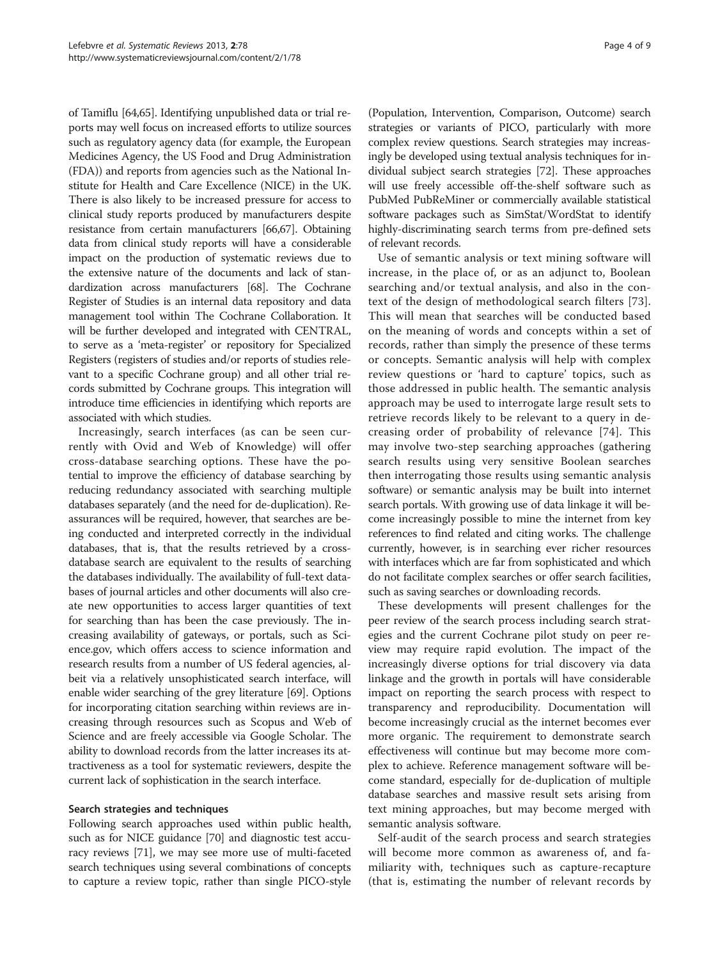of Tamiflu [[64,65\]](#page-7-0). Identifying unpublished data or trial reports may well focus on increased efforts to utilize sources such as regulatory agency data (for example, the European Medicines Agency, the US Food and Drug Administration (FDA)) and reports from agencies such as the National Institute for Health and Care Excellence (NICE) in the UK. There is also likely to be increased pressure for access to clinical study reports produced by manufacturers despite resistance from certain manufacturers [\[66,67](#page-7-0)]. Obtaining data from clinical study reports will have a considerable impact on the production of systematic reviews due to the extensive nature of the documents and lack of standardization across manufacturers [\[68\]](#page-7-0). The Cochrane Register of Studies is an internal data repository and data management tool within The Cochrane Collaboration. It will be further developed and integrated with CENTRAL, to serve as a 'meta-register' or repository for Specialized Registers (registers of studies and/or reports of studies relevant to a specific Cochrane group) and all other trial records submitted by Cochrane groups. This integration will introduce time efficiencies in identifying which reports are associated with which studies.

Increasingly, search interfaces (as can be seen currently with Ovid and Web of Knowledge) will offer cross-database searching options. These have the potential to improve the efficiency of database searching by reducing redundancy associated with searching multiple databases separately (and the need for de-duplication). Reassurances will be required, however, that searches are being conducted and interpreted correctly in the individual databases, that is, that the results retrieved by a crossdatabase search are equivalent to the results of searching the databases individually. The availability of full-text databases of journal articles and other documents will also create new opportunities to access larger quantities of text for searching than has been the case previously. The increasing availability of gateways, or portals, such as Science.gov, which offers access to science information and research results from a number of US federal agencies, albeit via a relatively unsophisticated search interface, will enable wider searching of the grey literature [\[69](#page-7-0)]. Options for incorporating citation searching within reviews are increasing through resources such as Scopus and Web of Science and are freely accessible via Google Scholar. The ability to download records from the latter increases its attractiveness as a tool for systematic reviewers, despite the current lack of sophistication in the search interface.

## Search strategies and techniques

Following search approaches used within public health, such as for NICE guidance [\[70\]](#page-7-0) and diagnostic test accuracy reviews [[71](#page-7-0)], we may see more use of multi-faceted search techniques using several combinations of concepts to capture a review topic, rather than single PICO-style

(Population, Intervention, Comparison, Outcome) search strategies or variants of PICO, particularly with more complex review questions. Search strategies may increasingly be developed using textual analysis techniques for individual subject search strategies [[72](#page-7-0)]. These approaches will use freely accessible off-the-shelf software such as PubMed PubReMiner or commercially available statistical software packages such as SimStat/WordStat to identify highly-discriminating search terms from pre-defined sets of relevant records.

Use of semantic analysis or text mining software will increase, in the place of, or as an adjunct to, Boolean searching and/or textual analysis, and also in the context of the design of methodological search filters [[73](#page-7-0)]. This will mean that searches will be conducted based on the meaning of words and concepts within a set of records, rather than simply the presence of these terms or concepts. Semantic analysis will help with complex review questions or 'hard to capture' topics, such as those addressed in public health. The semantic analysis approach may be used to interrogate large result sets to retrieve records likely to be relevant to a query in decreasing order of probability of relevance [[74](#page-7-0)]. This may involve two-step searching approaches (gathering search results using very sensitive Boolean searches then interrogating those results using semantic analysis software) or semantic analysis may be built into internet search portals. With growing use of data linkage it will become increasingly possible to mine the internet from key references to find related and citing works. The challenge currently, however, is in searching ever richer resources with interfaces which are far from sophisticated and which do not facilitate complex searches or offer search facilities, such as saving searches or downloading records.

These developments will present challenges for the peer review of the search process including search strategies and the current Cochrane pilot study on peer review may require rapid evolution. The impact of the increasingly diverse options for trial discovery via data linkage and the growth in portals will have considerable impact on reporting the search process with respect to transparency and reproducibility. Documentation will become increasingly crucial as the internet becomes ever more organic. The requirement to demonstrate search effectiveness will continue but may become more complex to achieve. Reference management software will become standard, especially for de-duplication of multiple database searches and massive result sets arising from text mining approaches, but may become merged with semantic analysis software.

Self-audit of the search process and search strategies will become more common as awareness of, and familiarity with, techniques such as capture-recapture (that is, estimating the number of relevant records by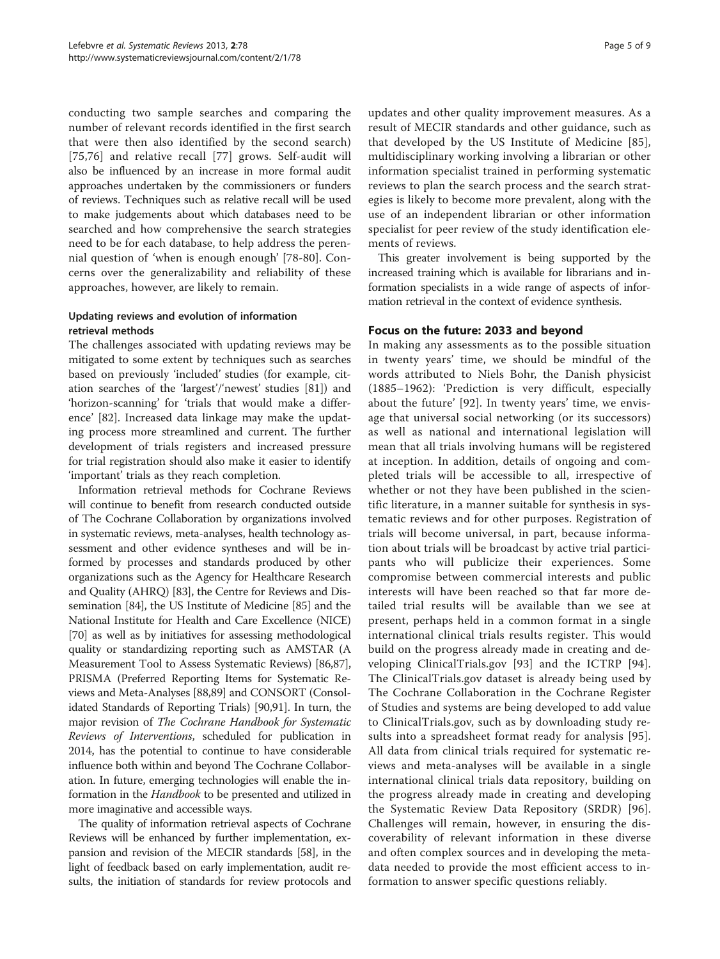conducting two sample searches and comparing the number of relevant records identified in the first search that were then also identified by the second search) [[75,76\]](#page-7-0) and relative recall [[77](#page-7-0)] grows. Self-audit will also be influenced by an increase in more formal audit approaches undertaken by the commissioners or funders of reviews. Techniques such as relative recall will be used to make judgements about which databases need to be searched and how comprehensive the search strategies need to be for each database, to help address the perennial question of 'when is enough enough' [[78](#page-7-0)-[80\]](#page-7-0). Concerns over the generalizability and reliability of these approaches, however, are likely to remain.

## Updating reviews and evolution of information retrieval methods

The challenges associated with updating reviews may be mitigated to some extent by techniques such as searches based on previously 'included' studies (for example, citation searches of the 'largest'/'newest' studies [\[81\]](#page-7-0)) and 'horizon-scanning' for 'trials that would make a difference' [\[82](#page-7-0)]. Increased data linkage may make the updating process more streamlined and current. The further development of trials registers and increased pressure for trial registration should also make it easier to identify 'important' trials as they reach completion.

Information retrieval methods for Cochrane Reviews will continue to benefit from research conducted outside of The Cochrane Collaboration by organizations involved in systematic reviews, meta-analyses, health technology assessment and other evidence syntheses and will be informed by processes and standards produced by other organizations such as the Agency for Healthcare Research and Quality (AHRQ) [[83](#page-7-0)], the Centre for Reviews and Dissemination [[84](#page-7-0)], the US Institute of Medicine [[85](#page-7-0)] and the National Institute for Health and Care Excellence (NICE) [[70](#page-7-0)] as well as by initiatives for assessing methodological quality or standardizing reporting such as AMSTAR (A Measurement Tool to Assess Systematic Reviews) [\[86,87](#page-7-0)], PRISMA (Preferred Reporting Items for Systematic Reviews and Meta-Analyses [[88](#page-7-0),[89](#page-7-0)] and CONSORT (Consolidated Standards of Reporting Trials) [[90](#page-7-0)[,91\]](#page-8-0). In turn, the major revision of The Cochrane Handbook for Systematic Reviews of Interventions, scheduled for publication in 2014, has the potential to continue to have considerable influence both within and beyond The Cochrane Collaboration. In future, emerging technologies will enable the information in the Handbook to be presented and utilized in more imaginative and accessible ways.

The quality of information retrieval aspects of Cochrane Reviews will be enhanced by further implementation, expansion and revision of the MECIR standards [[58](#page-7-0)], in the light of feedback based on early implementation, audit results, the initiation of standards for review protocols and

updates and other quality improvement measures. As a result of MECIR standards and other guidance, such as that developed by the US Institute of Medicine [[85](#page-7-0)], multidisciplinary working involving a librarian or other information specialist trained in performing systematic reviews to plan the search process and the search strategies is likely to become more prevalent, along with the use of an independent librarian or other information specialist for peer review of the study identification elements of reviews.

This greater involvement is being supported by the increased training which is available for librarians and information specialists in a wide range of aspects of information retrieval in the context of evidence synthesis.

### Focus on the future: 2033 and beyond

In making any assessments as to the possible situation in twenty years' time, we should be mindful of the words attributed to Niels Bohr, the Danish physicist (1885–1962): 'Prediction is very difficult, especially about the future' [\[92\]](#page-8-0). In twenty years' time, we envisage that universal social networking (or its successors) as well as national and international legislation will mean that all trials involving humans will be registered at inception. In addition, details of ongoing and completed trials will be accessible to all, irrespective of whether or not they have been published in the scientific literature, in a manner suitable for synthesis in systematic reviews and for other purposes. Registration of trials will become universal, in part, because information about trials will be broadcast by active trial participants who will publicize their experiences. Some compromise between commercial interests and public interests will have been reached so that far more detailed trial results will be available than we see at present, perhaps held in a common format in a single international clinical trials results register. This would build on the progress already made in creating and developing ClinicalTrials.gov [[93\]](#page-8-0) and the ICTRP [[94](#page-8-0)]. The ClinicalTrials.gov dataset is already being used by The Cochrane Collaboration in the Cochrane Register of Studies and systems are being developed to add value to ClinicalTrials.gov, such as by downloading study results into a spreadsheet format ready for analysis [[95](#page-8-0)]. All data from clinical trials required for systematic reviews and meta-analyses will be available in a single international clinical trials data repository, building on the progress already made in creating and developing the Systematic Review Data Repository (SRDR) [[96](#page-8-0)]. Challenges will remain, however, in ensuring the discoverability of relevant information in these diverse and often complex sources and in developing the metadata needed to provide the most efficient access to information to answer specific questions reliably.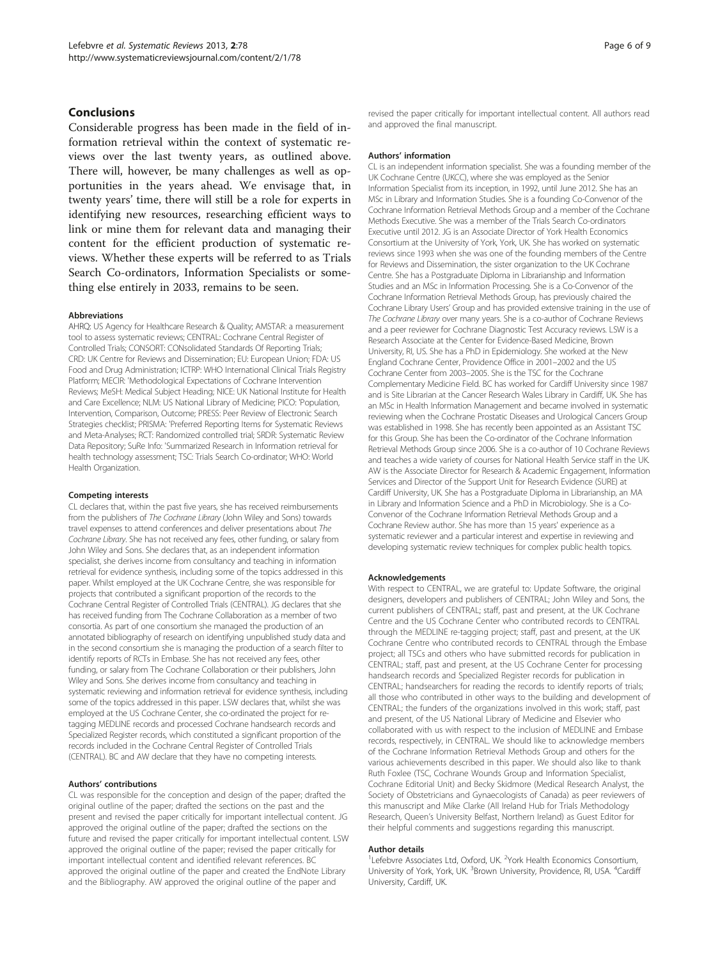## Conclusions

Considerable progress has been made in the field of information retrieval within the context of systematic reviews over the last twenty years, as outlined above. There will, however, be many challenges as well as opportunities in the years ahead. We envisage that, in twenty years' time, there will still be a role for experts in identifying new resources, researching efficient ways to link or mine them for relevant data and managing their content for the efficient production of systematic reviews. Whether these experts will be referred to as Trials Search Co-ordinators, Information Specialists or something else entirely in 2033, remains to be seen.

#### Abbreviations

AHRQ: US Agency for Healthcare Research & Quality; AMSTAR: a measurement tool to assess systematic reviews; CENTRAL: Cochrane Central Register of Controlled Trials; CONSORT: CONsolidated Standards Of Reporting Trials; CRD: UK Centre for Reviews and Dissemination; EU: European Union; FDA: US Food and Drug Administration; ICTRP: WHO International Clinical Trials Registry Platform; MECIR: 'Methodological Expectations of Cochrane Intervention Reviews; MeSH: Medical Subject Heading; NICE: UK National Institute for Health and Care Excellence; NLM: US National Library of Medicine; PICO: 'Population, Intervention, Comparison, Outcome; PRESS: Peer Review of Electronic Search Strategies checklist; PRISMA: 'Preferred Reporting Items for Systematic Reviews and Meta-Analyses; RCT: Randomized controlled trial; SRDR: Systematic Review Data Repository; SuRe Info: 'Summarized Research in Information retrieval for health technology assessment; TSC: Trials Search Co-ordinator; WHO: World Health Organization.

#### Competing interests

CL declares that, within the past five years, she has received reimbursements from the publishers of The Cochrane Library (John Wiley and Sons) towards travel expenses to attend conferences and deliver presentations about The Cochrane Library. She has not received any fees, other funding, or salary from John Wiley and Sons. She declares that, as an independent information specialist, she derives income from consultancy and teaching in information retrieval for evidence synthesis, including some of the topics addressed in this paper. Whilst employed at the UK Cochrane Centre, she was responsible for projects that contributed a significant proportion of the records to the Cochrane Central Register of Controlled Trials (CENTRAL). JG declares that she has received funding from The Cochrane Collaboration as a member of two consortia. As part of one consortium she managed the production of an annotated bibliography of research on identifying unpublished study data and in the second consortium she is managing the production of a search filter to identify reports of RCTs in Embase. She has not received any fees, other funding, or salary from The Cochrane Collaboration or their publishers, John Wiley and Sons. She derives income from consultancy and teaching in systematic reviewing and information retrieval for evidence synthesis, including some of the topics addressed in this paper. LSW declares that, whilst she was employed at the US Cochrane Center, she co-ordinated the project for retagging MEDLINE records and processed Cochrane handsearch records and Specialized Register records, which constituted a significant proportion of the records included in the Cochrane Central Register of Controlled Trials (CENTRAL). BC and AW declare that they have no competing interests.

#### Authors' contributions

CL was responsible for the conception and design of the paper; drafted the original outline of the paper; drafted the sections on the past and the present and revised the paper critically for important intellectual content. JG approved the original outline of the paper; drafted the sections on the future and revised the paper critically for important intellectual content. LSW approved the original outline of the paper; revised the paper critically for important intellectual content and identified relevant references. BC approved the original outline of the paper and created the EndNote Library and the Bibliography. AW approved the original outline of the paper and

revised the paper critically for important intellectual content. All authors read and approved the final manuscript.

#### Authors' information

CL is an independent information specialist. She was a founding member of the UK Cochrane Centre (UKCC), where she was employed as the Senior Information Specialist from its inception, in 1992, until June 2012. She has an MSc in Library and Information Studies. She is a founding Co-Convenor of the Cochrane Information Retrieval Methods Group and a member of the Cochrane Methods Executive. She was a member of the Trials Search Co-ordinators Executive until 2012. JG is an Associate Director of York Health Economics Consortium at the University of York, York, UK. She has worked on systematic reviews since 1993 when she was one of the founding members of the Centre for Reviews and Dissemination, the sister organization to the UK Cochrane Centre. She has a Postgraduate Diploma in Librarianship and Information Studies and an MSc in Information Processing. She is a Co-Convenor of the Cochrane Information Retrieval Methods Group, has previously chaired the Cochrane Library Users' Group and has provided extensive training in the use of The Cochrane Library over many years. She is a co-author of Cochrane Reviews and a peer reviewer for Cochrane Diagnostic Test Accuracy reviews. LSW is a Research Associate at the Center for Evidence-Based Medicine, Brown University, RI, US. She has a PhD in Epidemiology. She worked at the New England Cochrane Center, Providence Office in 2001–2002 and the US Cochrane Center from 2003–2005. She is the TSC for the Cochrane Complementary Medicine Field. BC has worked for Cardiff University since 1987 and is Site Librarian at the Cancer Research Wales Library in Cardiff, UK. She has an MSc in Health Information Management and became involved in systematic reviewing when the Cochrane Prostatic Diseases and Urological Cancers Group was established in 1998. She has recently been appointed as an Assistant TSC for this Group. She has been the Co-ordinator of the Cochrane Information Retrieval Methods Group since 2006. She is a co-author of 10 Cochrane Reviews and teaches a wide variety of courses for National Health Service staff in the UK. AW is the Associate Director for Research & Academic Engagement, Information Services and Director of the Support Unit for Research Evidence (SURE) at Cardiff University, UK. She has a Postgraduate Diploma in Librarianship, an MA in Library and Information Science and a PhD in Microbiology. She is a Co-Convenor of the Cochrane Information Retrieval Methods Group and a Cochrane Review author. She has more than 15 years' experience as a systematic reviewer and a particular interest and expertise in reviewing and developing systematic review techniques for complex public health topics.

#### Acknowledgements

With respect to CENTRAL, we are grateful to: Update Software, the original designers, developers and publishers of CENTRAL; John Wiley and Sons, the current publishers of CENTRAL; staff, past and present, at the UK Cochrane Centre and the US Cochrane Center who contributed records to CENTRAL through the MEDLINE re-tagging project; staff, past and present, at the UK Cochrane Centre who contributed records to CENTRAL through the Embase project; all TSCs and others who have submitted records for publication in CENTRAL; staff, past and present, at the US Cochrane Center for processing handsearch records and Specialized Register records for publication in CENTRAL; handsearchers for reading the records to identify reports of trials; all those who contributed in other ways to the building and development of CENTRAL; the funders of the organizations involved in this work; staff, past and present, of the US National Library of Medicine and Elsevier who collaborated with us with respect to the inclusion of MEDLINE and Embase records, respectively, in CENTRAL. We should like to acknowledge members of the Cochrane Information Retrieval Methods Group and others for the various achievements described in this paper. We should also like to thank Ruth Foxlee (TSC, Cochrane Wounds Group and Information Specialist, Cochrane Editorial Unit) and Becky Skidmore (Medical Research Analyst, the Society of Obstetricians and Gynaecologists of Canada) as peer reviewers of this manuscript and Mike Clarke (All Ireland Hub for Trials Methodology Research, Queen's University Belfast, Northern Ireland) as Guest Editor for their helpful comments and suggestions regarding this manuscript.

#### Author details

<sup>1</sup>Lefebvre Associates Ltd, Oxford, UK. <sup>2</sup>York Health Economics Consortium, University of York, York, UK. <sup>3</sup>Brown University, Providence, RI, USA. <sup>4</sup>Cardiff University, Cardiff, UK.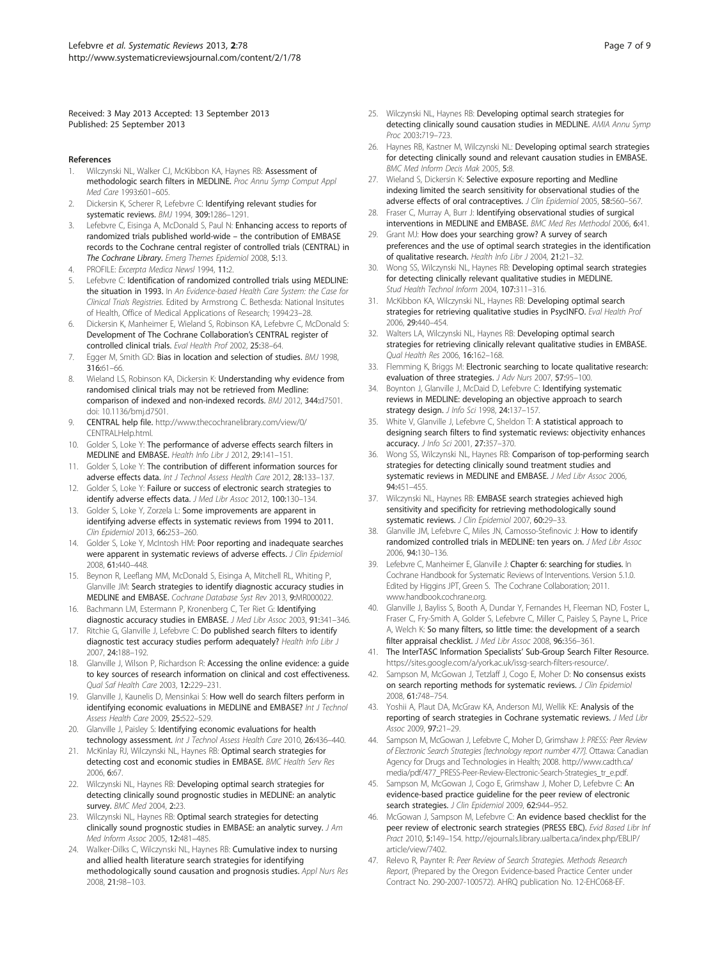<span id="page-6-0"></span>Received: 3 May 2013 Accepted: 13 September 2013 Published: 25 September 2013

#### References

- Wilczynski NL, Walker CJ, McKibbon KA, Haynes RB: Assessment of methodologic search filters in MEDLINE. Proc Annu Symp Comput Appl Med Care 1993:601–605.
- 2. Dickersin K, Scherer R, Lefebvre C: Identifying relevant studies for systematic reviews. BMJ 1994, 309:1286–1291.
- 3. Lefebvre C, Eisinga A, McDonald S, Paul N: Enhancing access to reports of randomized trials published world-wide – the contribution of EMBASE records to the Cochrane central register of controlled trials (CENTRAL) in The Cochrane Library. Emerg Themes Epidemiol 2008, 5:13.
- 4. PROFILE: Excerpta Medica Newsl 1994, 11:2.
- Lefebvre C: Identification of randomized controlled trials using MEDLINE: the situation in 1993. In An Evidence-based Health Care System: the Case for Clinical Trials Registries. Edited by Armstrong C. Bethesda: National Insitutes of Health, Office of Medical Applications of Research; 1994:23–28.
- 6. Dickersin K, Manheimer E, Wieland S, Robinson KA, Lefebvre C, McDonald S: Development of The Cochrane Collaboration's CENTRAL register of controlled clinical trials. Eval Health Prof 2002, 25:38–64.
- 7. Egger M, Smith GD: Bias in location and selection of studies. BMJ 1998, 316:61–66.
- 8. Wieland LS, Robinson KA, Dickersin K: Understanding why evidence from randomised clinical trials may not be retrieved from Medline: comparison of indexed and non-indexed records. BMJ 2012, 344:d7501. doi: 10.1136/bmj.d7501.
- 9. CENTRAL help file. [http://www.thecochranelibrary.com/view/0/](http://www.thecochranelibrary.com/view/0/CENTRALHelp.html) [CENTRALHelp.html](http://www.thecochranelibrary.com/view/0/CENTRALHelp.html).
- 10. Golder S, Loke Y: The performance of adverse effects search filters in MEDLINE and EMBASE. Health Info Libr J 2012, 29:141–151.
- 11. Golder S, Loke Y: The contribution of different information sources for adverse effects data. Int J Technol Assess Health Care 2012, 28:133–137.
- 12. Golder S, Loke Y: Failure or success of electronic search strategies to identify adverse effects data. J Med Libr Assoc 2012, 100:130–134.
- 13. Golder S, Loke Y, Zorzela L: Some improvements are apparent in identifying adverse effects in systematic reviews from 1994 to 2011. Clin Epidemiol 2013, 66:253–260.
- 14. Golder S, Loke Y, McIntosh HM: Poor reporting and inadequate searches were apparent in systematic reviews of adverse effects. J Clin Epidemiol 2008, 61:440–448.
- 15. Beynon R, Leeflang MM, McDonald S, Eisinga A, Mitchell RL, Whiting P, Glanville JM: Search strategies to identify diagnostic accuracy studies in MEDLINE and EMBASE. Cochrane Database Syst Rev 2013, 9:MR000022.
- 16. Bachmann LM, Estermann P, Kronenberg C, Ter Riet G: Identifying diagnostic accuracy studies in EMBASE. J Med Libr Assoc 2003, 91:341–346.
- 17. Ritchie G, Glanville J, Lefebvre C: Do published search filters to identify diagnostic test accuracy studies perform adequately? Health Info Libr J 2007, 24:188–192.
- 18. Glanville J, Wilson P, Richardson R: Accessing the online evidence: a guide to key sources of research information on clinical and cost effectiveness. Qual Saf Health Care 2003, 12:229–231.
- 19. Glanville J, Kaunelis D, Mensinkai S: How well do search filters perform in identifying economic evaluations in MEDLINE and EMBASE? Int J Technol Assess Health Care 2009, 25:522–529.
- 20. Glanville J, Paisley S: Identifying economic evaluations for health technology assessment. Int J Technol Assess Health Care 2010, 26:436-440.
- 21. McKinlay RJ, Wilczynski NL, Haynes RB: Optimal search strategies for detecting cost and economic studies in EMBASE. BMC Health Serv Res 2006, 6:67.
- 22. Wilczynski NL, Haynes RB: Developing optimal search strategies for detecting clinically sound prognostic studies in MEDLINE: an analytic survey. BMC Med 2004, 2:23.
- 23. Wilczynski NL, Haynes RB: Optimal search strategies for detecting clinically sound prognostic studies in EMBASE: an analytic survey. J Am Med Inform Assoc 2005, 12:481–485.
- 24. Walker-Dilks C, Wilczynski NL, Haynes RB: Cumulative index to nursing and allied health literature search strategies for identifying methodologically sound causation and prognosis studies. Appl Nurs Res 2008, 21:98–103.
- 25. Wilczynski NL, Haynes RB: Developing optimal search strategies for detecting clinically sound causation studies in MEDLINE. AMIA Annu Symp Proc 2003:719–723.
- 26. Haynes RB, Kastner M, Wilczynski NL: Developing optimal search strategies for detecting clinically sound and relevant causation studies in EMBASE. BMC Med Inform Decis Mak 2005, 5:8.
- 27. Wieland S, Dickersin K: Selective exposure reporting and Medline indexing limited the search sensitivity for observational studies of the adverse effects of oral contraceptives. J Clin Epidemiol 2005, 58:560-567.
- 28. Fraser C, Murray A, Burr J: Identifying observational studies of surgical interventions in MEDLINE and EMBASE. BMC Med Res Methodol 2006, 6:41.
- 29. Grant MJ: How does your searching grow? A survey of search preferences and the use of optimal search strategies in the identification of qualitative research. Health Info Libr J 2004, 21:21–32.
- Wong SS, Wilczynski NL, Haynes RB: Developing optimal search strategies for detecting clinically relevant qualitative studies in MEDLINE. Stud Health Technol Inform 2004, 107:311–316.
- 31. McKibbon KA, Wilczynski NL, Haynes RB: Developing optimal search strategies for retrieving qualitative studies in PsycINFO. Eval Health Prof 2006, 29:440–454.
- 32. Walters LA, Wilczynski NL, Haynes RB: Developing optimal search strategies for retrieving clinically relevant qualitative studies in EMBASE. Qual Health Res 2006, 16:162–168.
- 33. Flemming K, Briggs M: Electronic searching to locate qualitative research: evaluation of three strategies. J Adv Nurs 2007, 57:95–100.
- 34. Boynton J, Glanville J, McDaid D, Lefebvre C: Identifying systematic reviews in MEDLINE: developing an objective approach to search strategy design. J Info Sci 1998, 24:137-157.
- White V, Glanville J, Lefebvre C, Sheldon T: A statistical approach to designing search filters to find systematic reviews: objectivity enhances accuracy. J Info Sci 2001, 27:357–370.
- 36. Wong SS, Wilczynski NL, Haynes RB: Comparison of top-performing search strategies for detecting clinically sound treatment studies and systematic reviews in MEDLINE and EMBASE. J Med Libr Assoc 2006, 94:451–455.
- 37. Wilczynski NL, Haynes RB: EMBASE search strategies achieved high sensitivity and specificity for retrieving methodologically sound systematic reviews. J Clin Epidemiol 2007, 60:29-33.
- 38. Glanville JM, Lefebvre C, Miles JN, Camosso-Stefinovic J: How to identify randomized controlled trials in MEDLINE: ten years on. J Med Libr Assoc 2006, 94:130–136.
- 39. Lefebvre C, Manheimer E, Glanville J: Chapter 6: searching for studies. In Cochrane Handbook for Systematic Reviews of Interventions. Version 5.1.0. Edited by Higgins JPT, Green S. The Cochrane Collaboration; 2011. [www.handbook.cochrane.org](http://www.handbook.cochrane.org).
- 40. Glanville J, Bayliss S, Booth A, Dundar Y, Fernandes H, Fleeman ND, Foster L, Fraser C, Fry-Smith A, Golder S, Lefebvre C, Miller C, Paisley S, Payne L, Price A, Welch K: So many filters, so little time: the development of a search filter appraisal checklist. J Med Libr Assoc 2008, 96:356–361.
- The InterTASC Information Specialists' Sub-Group Search Filter Resource. <https://sites.google.com/a/york.ac.uk/issg-search-filters-resource/>.
- 42. Sampson M, McGowan J, Tetzlaff J, Cogo E, Moher D: No consensus exists on search reporting methods for systematic reviews. J Clin Epidemiol 2008, 61:748–754.
- 43. Yoshii A, Plaut DA, McGraw KA, Anderson MJ, Wellik KE: Analysis of the reporting of search strategies in Cochrane systematic reviews. J Med Libr Assoc 2009, 97:21–29.
- 44. Sampson M, McGowan J, Lefebvre C, Moher D, Grimshaw J: PRESS: Peer Review of Electronic Search Strategies [technology report number 477]. Ottawa: Canadian Agency for Drugs and Technologies in Health; 2008. [http://www.cadth.ca/](http://www.cadth.ca/media/pdf/477_PRESS-Peer-Review-Electronic-Search-Strategies_tr_e.pdf) [media/pdf/477\\_PRESS-Peer-Review-Electronic-Search-Strategies\\_tr\\_e.pdf](http://www.cadth.ca/media/pdf/477_PRESS-Peer-Review-Electronic-Search-Strategies_tr_e.pdf).
- 45. Sampson M, McGowan J, Cogo E, Grimshaw J, Moher D, Lefebvre C: An evidence-based practice guideline for the peer review of electronic search strategies. J Clin Epidemiol 2009, 62:944-952.
- 46. McGowan J, Sampson M, Lefebvre C: An evidence based checklist for the peer review of electronic search strategies (PRESS EBC). Evid Based Libr Inf Pract 2010, 5:149–154. [http://ejournals.library.ualberta.ca/index.php/EBLIP/](http://ejournals.library.ualberta.ca/index.php/EBLIP/article/view/7402) [article/view/7402](http://ejournals.library.ualberta.ca/index.php/EBLIP/article/view/7402).
- 47. Relevo R, Paynter R: Peer Review of Search Strategies. Methods Research Report, (Prepared by the Oregon Evidence-based Practice Center under Contract No. 290-2007-100572). AHRQ publication No. 12-EHC068-EF.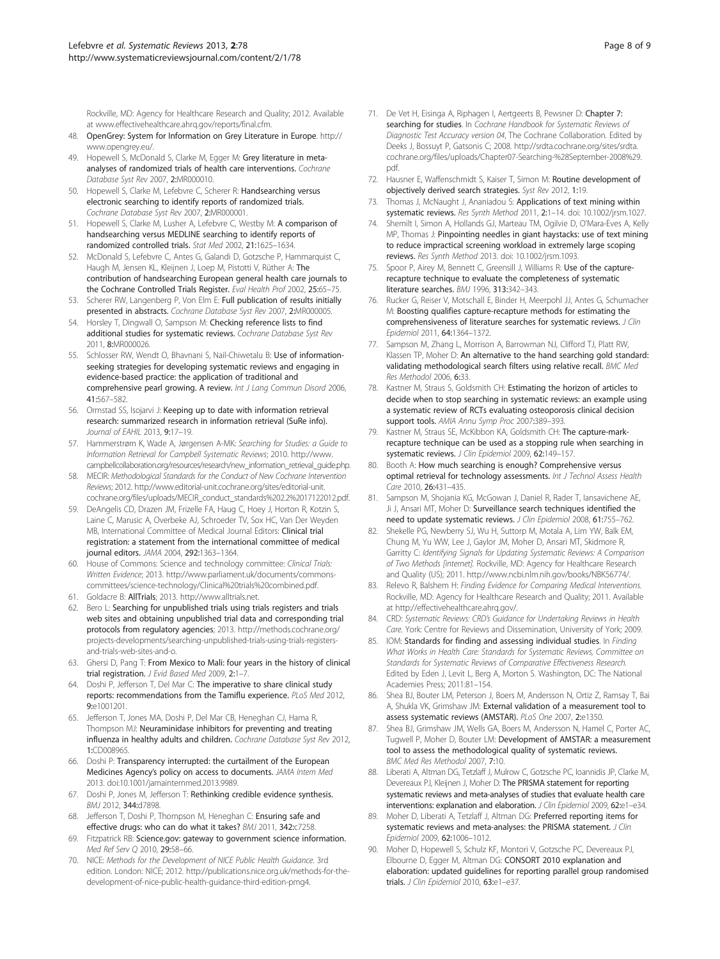<span id="page-7-0"></span>Rockville, MD: Agency for Healthcare Research and Quality; 2012. Available at [www.effectivehealthcare.ahrq.gov/reports/final.cfm.](http://www.effectivehealthcare.ahrq.gov/reports/final.cfm)

- 48. OpenGrey: System for Information on Grey Literature in Europe. [http://](http://www.opengrey.eu/) [www.opengrey.eu/](http://www.opengrey.eu/)
- 49. Hopewell S, McDonald S, Clarke M, Egger M: Grey literature in metaanalyses of randomized trials of health care interventions. Cochrane Database Syst Rev 2007, 2:MR000010.
- 50. Hopewell S, Clarke M, Lefebvre C, Scherer R: Handsearching versus electronic searching to identify reports of randomized trials. Cochrane Database Syst Rev 2007, 2:MR000001.
- 51. Hopewell S, Clarke M, Lusher A, Lefebvre C, Westby M: A comparison of handsearching versus MEDLINE searching to identify reports of randomized controlled trials. Stat Med 2002, 21:1625–1634.
- 52. McDonald S, Lefebvre C, Antes G, Galandi D, Gotzsche P, Hammarquist C, Haugh M, Jensen KL, Kleijnen J, Loep M, Pistotti V, Rüther A: The contribution of handsearching European general health care journals to the Cochrane Controlled Trials Register. Eval Health Prof 2002, 25:65–75.
- 53. Scherer RW, Langenberg P, Von Elm E: Full publication of results initially presented in abstracts. Cochrane Database Syst Rev 2007, 2:MR000005.
- 54. Horsley T, Dingwall O, Sampson M: Checking reference lists to find additional studies for systematic reviews. Cochrane Database Syst Rev 2011, 8:MR000026.
- 55. Schlosser RW, Wendt O, Bhavnani S, Nail-Chiwetalu B: Use of informationseeking strategies for developing systematic reviews and engaging in evidence-based practice: the application of traditional and comprehensive pearl growing. A review. Int J Lang Commun Disord 2006, 41:567–582.
- 56. Ormstad SS, Isojarvi J: Keeping up to date with information retrieval research: summarized research in information retrieval (SuRe info). Journal of EAHIL 2013, 9:17–19.
- 57. Hammerstrøm K, Wade A, Jørgensen A-MK: Searching for Studies: a Guide to Information Retrieval for Campbell Systematic Reviews; 2010. [http://www.](http://www.campbellcollaboration.org/resources/research/new_information_retrieval_guide.php) [campbellcollaboration.org/resources/research/new\\_information\\_retrieval\\_guide.php.](http://www.campbellcollaboration.org/resources/research/new_information_retrieval_guide.php)
- 58. MECIR: Methodological Standards for the Conduct of New Cochrane Intervention Reviews; 2012. [http://www.editorial-unit.cochrane.org/sites/editorial-unit.](http://www.editorial-unit.cochrane.org/sites/editorial-unit.cochrane.org/files/uploads/MECIR_conduct_standards%202.2%2017122012.pdf) [cochrane.org/files/uploads/MECIR\\_conduct\\_standards%202.2%2017122012.pdf](http://www.editorial-unit.cochrane.org/sites/editorial-unit.cochrane.org/files/uploads/MECIR_conduct_standards%202.2%2017122012.pdf).
- 59. DeAngelis CD, Drazen JM, Frizelle FA, Haug C, Hoey J, Horton R, Kotzin S, Laine C, Marusic A, Overbeke AJ, Schroeder TV, Sox HC, Van Der Weyden MB, International Committee of Medical Journal Editors: Clinical trial registration: a statement from the international committee of medical journal editors. JAMA 2004, 292:1363–1364.
- 60. House of Commons: Science and technology committee: Clinical Trials: Written Evidence; 2013. [http://www.parliament.uk/documents/commons](http://www.parliament.uk/documents/commons-committees/science-technology/Clinical%20trials%20combined.pdf)[committees/science-technology/Clinical%20trials%20combined.pdf](http://www.parliament.uk/documents/commons-committees/science-technology/Clinical%20trials%20combined.pdf).
- 61. Goldacre B: AllTrials; 2013.<http://www.alltrials.net>.
- 62. Bero L: Searching for unpublished trials using trials registers and trials web sites and obtaining unpublished trial data and corresponding trial protocols from regulatory agencies; 2013. [http://methods.cochrane.org/](http://methods.cochrane.org/projects-developments/searching-unpublished-trials-using-trials-registers-and-trials-web-sites-and-o) [projects-developments/searching-unpublished-trials-using-trials-registers](http://methods.cochrane.org/projects-developments/searching-unpublished-trials-using-trials-registers-and-trials-web-sites-and-o)[and-trials-web-sites-and-o](http://methods.cochrane.org/projects-developments/searching-unpublished-trials-using-trials-registers-and-trials-web-sites-and-o).
- 63. Ghersi D, Pang T: From Mexico to Mali: four years in the history of clinical trial registration. J Evid Based Med 2009, 2:1-7
- 64. Doshi P, Jefferson T, Del Mar C: The imperative to share clinical study reports: recommendations from the Tamiflu experience. PLoS Med 2012, 9:e1001201.
- 65. Jefferson T, Jones MA, Doshi P, Del Mar CB, Heneghan CJ, Hama R, Thompson MJ: Neuraminidase inhibitors for preventing and treating influenza in healthy adults and children. Cochrane Database Syst Rev 2012, 1:CD008965.
- 66. Doshi P: Transparency interrupted: the curtailment of the European Medicines Agency's policy on access to documents. JAMA Intern Med 2013. doi:10.1001/jamainternmed.2013.9989.
- 67. Doshi P, Jones M, Jefferson T: Rethinking credible evidence synthesis. BMJ 2012, 344:d7898.
- 68. Jefferson T, Doshi P, Thompson M, Heneghan C: Ensuring safe and effective drugs: who can do what it takes? BMJ 2011, 342:c7258.
- 69. Fitzpatrick RB: Science.gov: gateway to government science information. Med Ref Serv Q 2010, 29:58–66.
- 70. NICE: Methods for the Development of NICE Public Health Guidance. 3rd edition. London: NICE; 2012. [http://publications.nice.org.uk/methods-for-the](http://publications.nice.org.uk/methods-for-the-development-of-nice-public-health-guidance-third-edition-pmg4)[development-of-nice-public-health-guidance-third-edition-pmg4.](http://publications.nice.org.uk/methods-for-the-development-of-nice-public-health-guidance-third-edition-pmg4)
- 71. De Vet H, Eisinga A, Riphagen I, Aertgeerts B, Pewsner D: Chapter 7: searching for studies. In Cochrane Handbook for Systematic Reviews of Diagnostic Test Accuracy version 04, The Cochrane Collaboration. Edited by Deeks J, Bossuyt P, Gatsonis C; 2008. [http://srdta.cochrane.org/sites/srdta.](http://srdta.cochrane.org/sites/srdta.cochrane.org/files/uploads/Chapter07-Searching-%28September-2008%29.pdf) [cochrane.org/files/uploads/Chapter07-Searching-%28September-2008%29.](http://srdta.cochrane.org/sites/srdta.cochrane.org/files/uploads/Chapter07-Searching-%28September-2008%29.pdf) [pdf](http://srdta.cochrane.org/sites/srdta.cochrane.org/files/uploads/Chapter07-Searching-%28September-2008%29.pdf).
- 72. Hausner E, Waffenschmidt S, Kaiser T, Simon M: Routine development of objectively derived search strategies. Syst Rev 2012, 1:19.
- 73. Thomas J, McNaught J, Ananiadou S: Applications of text mining within systematic reviews. Res Synth Method 2011, 2:1–14. doi: 10.1002/jrsm.1027.
- 74. Shemilt I, Simon A, Hollands GJ, Marteau TM, Ogilvie D, O'Mara-Eves A, Kelly MP, Thomas J: Pinpointing needles in giant haystacks: use of text mining to reduce impractical screening workload in extremely large scoping reviews. Res Synth Method 2013. doi: 10.1002/jrsm.1093.
- 75. Spoor P, Airey M, Bennett C, Greensill J, Williams R: Use of the capturerecapture technique to evaluate the completeness of systematic literature searches. BMJ 1996, 313:342–343.
- 76. Rucker G, Reiser V, Motschall E, Binder H, Meerpohl JJ, Antes G, Schumacher M: Boosting qualifies capture-recapture methods for estimating the comprehensiveness of literature searches for systematic reviews. J Clin Epidemiol 2011, 64:1364–1372.
- 77. Sampson M, Zhang L, Morrison A, Barrowman NJ, Clifford TJ, Platt RW, Klassen TP, Moher D: An alternative to the hand searching gold standard: validating methodological search filters using relative recall. BMC Med Res Methodol 2006, 6:33.
- 78. Kastner M, Straus S, Goldsmith CH: Estimating the horizon of articles to decide when to stop searching in systematic reviews: an example using a systematic review of RCTs evaluating osteoporosis clinical decision support tools. AMIA Annu Symp Proc 2007:389-393.
- 79. Kastner M, Straus SE, McKibbon KA, Goldsmith CH: The capture-markrecapture technique can be used as a stopping rule when searching in systematic reviews. J Clin Epidemiol 2009, 62:149-157.
- 80. Booth A: How much searching is enough? Comprehensive versus optimal retrieval for technology assessments. Int J Technol Assess Health Care 2010, 26:431–435.
- Sampson M, Shojania KG, McGowan J, Daniel R, Rader T, Iansavichene AE, Ji J, Ansari MT, Moher D: Surveillance search techniques identified the need to update systematic reviews. J Clin Epidemiol 2008, 61:755-762.
- 82. Shekelle PG, Newberry SJ, Wu H, Suttorp M, Motala A, Lim YW, Balk EM, Chung M, Yu WW, Lee J, Gaylor JM, Moher D, Ansari MT, Skidmore R, Garritty C: Identifying Signals for Updating Systematic Reviews: A Comparison of Two Methods [internet]. Rockville, MD: Agency for Healthcare Research and Quality (US); 2011. [http://www.ncbi.nlm.nih.gov/books/NBK56774/.](http://www.ncbi.nlm.nih.gov/books/NBK56774/)
- 83. Relevo R, Balshem H: Finding Evidence for Comparing Medical Interventions. Rockville, MD: Agency for Healthcare Research and Quality; 2011. Available at<http://effectivehealthcare.ahrq.gov/>.
- CRD: Systematic Reviews: CRD's Guidance for Undertaking Reviews in Health Care. York: Centre for Reviews and Dissemination, University of York; 2009.
- 85. IOM: Standards for finding and assessing individual studies. In Finding What Works in Health Care: Standards for Systematic Reviews, Committee on Standards for Systematic Reviews of Comparative Effectiveness Research. Edited by Eden J, Levit L, Berg A, Morton S. Washington, DC: The National Academies Press; 2011:81–154.
- 86. Shea BJ, Bouter LM, Peterson J, Boers M, Andersson N, Ortiz Z, Ramsay T, Bai A, Shukla VK, Grimshaw JM: External validation of a measurement tool to assess systematic reviews (AMSTAR). PLoS One 2007, 2:e1350.
- 87. Shea BJ, Grimshaw JM, Wells GA, Boers M, Andersson N, Hamel C, Porter AC, Tugwell P, Moher D, Bouter LM: Development of AMSTAR: a measurement tool to assess the methodological quality of systematic reviews. BMC Med Res Methodol 2007, 7:10.
- 88. Liberati A, Altman DG, Tetzlaff J, Mulrow C, Gotzsche PC, Ioannidis JP, Clarke M, Devereaux PJ, Kleijnen J, Moher D: The PRISMA statement for reporting systematic reviews and meta-analyses of studies that evaluate health care interventions: explanation and elaboration. J Clin Epidemiol 2009, 62:e1-e34.
- 89. Moher D, Liberati A, Tetzlaff J, Altman DG: Preferred reporting items for systematic reviews and meta-analyses: the PRISMA statement. J Clin Epidemiol 2009, 62:1006–1012.
- 90. Moher D, Hopewell S, Schulz KF, Montori V, Gotzsche PC, Devereaux PJ, Elbourne D, Egger M, Altman DG: CONSORT 2010 explanation and elaboration: updated guidelines for reporting parallel group randomised trials. J Clin Epidemiol 2010, 63:e1-e37.